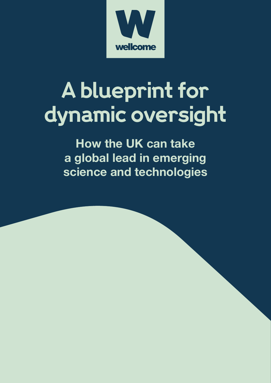

# **A blueprint for dynamic oversight**

**How the UK can take a global lead in emerging science and technologies**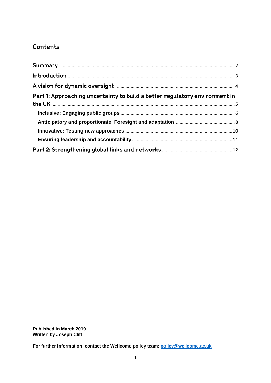# Contents

| Part 1: Approaching uncertainty to build a better regulatory environment in |  |
|-----------------------------------------------------------------------------|--|
|                                                                             |  |
|                                                                             |  |
|                                                                             |  |
|                                                                             |  |
|                                                                             |  |

**Published in March 2019** Written by Joseph Clift

For further information, contact the Wellcome policy team: policy@wellcome.ac.uk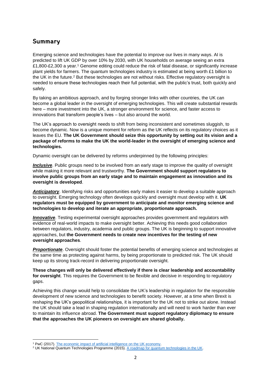# <span id="page-2-0"></span>Summary

Emerging science and technologies have the potential to improve our lives in many ways. AI is predicted to lift UK GDP by over 10% by 2030, with UK households on average seeing an extra £1,800-£2,300 a year.<sup>1</sup> Genome editing could reduce the risk of fatal disease, or significantly increase plant yields for farmers. The quantum technologies industry is estimated at being worth £1 billion to the UK in the future.<sup>2</sup> But these technologies are not without risks. Effective regulatory oversight is needed to ensure these technologies reach their full potential, with the public's trust, both quickly and safely.

By taking an ambitious approach, and by forging stronger links with other countries, the UK can become a global leader in the oversight of emerging technologies. This will create substantial rewards here – more investment into the UK, a stronger environment for science, and faster access to innovations that transform people's lives – but also around the world.

The UK's approach to oversight needs to shift from being inconsistent and sometimes sluggish, to become dynamic. Now is a unique moment for reform as the UK reflects on its regulatory choices as it leaves the EU. **The UK Government should seize this opportunity by setting out its vision and a package of reforms to make the UK the world-leader in the oversight of emerging science and technologies.** 

Dynamic oversight can be delivered by reforms underpinned by the following principles:

*Inclusive*. Public groups need to be involved from an early stage to improve the quality of oversight while making it more relevant and trustworthy. **The Government should support regulators to involve public groups from an early stage and to maintain engagement as innovation and its oversight is developed**.

**Anticipatory**. Identifying risks and opportunities early makes it easier to develop a suitable approach to oversight. Emerging technology often develops quickly and oversight must develop with it. **UK regulators must be equipped by government to anticipate and monitor emerging science and technologies to develop and iterate an appropriate, proportionate approach.**

*Innovative*. Testing experimental oversight approaches provides government and regulators with evidence of real-world impacts to make oversight better. Achieving this needs good collaboration between regulators, industry, academia and public groups. The UK is beginning to support innovative approaches, but **the Government needs to create new incentives for the testing of new oversight approaches**.

*Proportionate*. Oversight should foster the potential benefits of emerging science and technologies at the same time as protecting against harms, by being proportionate to predicted risk. The UK should keep up its strong track-record in delivering proportionate oversight.

**These changes will only be delivered effectively if there is clear leadership and accountability for oversight**. This requires the Government to be flexible and decisive in responding to regulatory gaps.

Achieving this change would help to consolidate the UK's leadership in regulation for the responsible development of new science and technologies to benefit society. However, at a time when Brexit is reshaping the UK's geopolitical relationships, it is important for the UK not to strike out alone. Instead the UK should take a lead in shaping regulation internationally and will need to work harder than ever to maintain its influence abroad. **The Government must support regulatory diplomacy to ensure that the approaches the UK pioneers on oversight are shared globally.**

<sup>&</sup>lt;sup>1</sup> PwC (2017)[. The economic impact of artificial intelligence on the UK economy.](https://www.pwc.co.uk/economic-services/assets/ai-uk-report-v2.pdf)

<sup>&</sup>lt;sup>2</sup> UK National Quantum Technologies Programme (2015)[. A roadmap for quantum technologies in the UK.](https://assets.publishing.service.gov.uk/government/uploads/system/uploads/attachment_data/file/470243/InnovateUK_QuantumTech_CO004_final.pdf)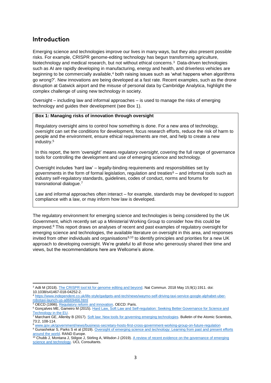# <span id="page-3-0"></span>Introduction

Emerging science and technologies improve our lives in many ways, but they also present possible risks. For example, CRISPR genome-editing technology has begun transforming agriculture, biotechnology and medical research, but not without ethical concerns.<sup>3</sup> Data-driven technologies such as AI are rapidly developing in manufacturing, energy and health, and driverless vehicles are beginning to be commercially available,<sup>4</sup> both raising issues such as 'what happens when algorithms go wrong?'. New innovations are being developed at a fast rate. Recent examples, such as the drone disruption at Gatwick airport and the misuse of personal data by Cambridge Analytica, highlight the complex challenge of using new technology in society.

Oversight – including law and informal approaches – is used to manage the risks of emerging technology and guides their development (see Box 1).

#### **Box 1: Managing risks of innovation through oversight**

Regulatory oversight aims to control how something is done. For a new area of technology, oversight can set the conditions for development, focus research efforts, reduce the risk of harm to people and the environment, ensure ethical requirements are met, and help to create a new industry.<sup>5</sup>

In this report, the term 'oversight' means *regulatory oversight*, covering the full range of governance tools for controlling the development and use of emerging science and technology.

Oversight includes 'hard law' – legally-binding requirements and responsibilities set by governments in the form of formal legislation, regulation and treaties<sup> $6$ </sup> – and informal tools such as industry self-regulatory standards, guidelines, codes of conduct, norms and forums for transnational dialogue.<sup>7</sup>

Law and informal approaches often interact – for example, standards may be developed to support compliance with a law, or may inform how law is developed.

The regulatory environment for emerging science and technologies is being considered by the UK Government, which recently set up a Ministerial Working Group to consider how this could be improved. <sup>8</sup> This report draws on analyses of recent and past examples of regulatory oversight for emerging science and technologies, the available literature on oversight in this area, and responses invited from other individuals and organisations<sup>9,10</sup> to identify principles and priorities for a new UK approach to developing oversight. We're grateful to all those who generously shared their time and views, but the recommendations here are Wellcome's alone.

<sup>1</sup> <sup>3</sup> Adli M (2018). [The CRISPR tool kit for genome editing and beyond.](https://www.nature.com/articles/s41467-018-04252-2) Nat Commun. 2018 May 15;9(1):1911. doi: 10.1038/s41467-018-04252-2.

<sup>4</sup> [https://www.independent.co.uk/life-style/gadgets-and-tech/news/waymo-self-driving-taxi-service-google-alphabet-uber](https://www.independent.co.uk/life-style/gadgets-and-tech/news/waymo-self-driving-taxi-service-google-alphabet-uber-robotaxi-launch-us-a8669466.html)[robotaxi-launch-us-a8669466.html](https://www.independent.co.uk/life-style/gadgets-and-tech/news/waymo-self-driving-taxi-service-google-alphabet-uber-robotaxi-launch-us-a8669466.html)

<sup>&</sup>lt;sup>5</sup> OECD (1996). [Regulatory reform and innovation.](https://www.oecd.org/sti/inno/2102514.pdf) OECD: Paris.

<sup>&</sup>lt;sup>6</sup> Goncalves ME, Gameiro M (2015). Hard Law, Soft Law and Self-regulation: Seeking Better Governance for Science and [Technology in the EU.](https://www.researchgate.net/publication/272351073_Hard_Law_Soft_Law_and_Self-regulation_Seeking_Better_Governance_for_Science_and_Technology_in_the_EU)

 $\frac{7}{7}$  Marchant GE, Allenby B (2017). [Soft law: New tools for governing emerging technologies.](https://www.tandfonline.com/doi/full/10.1080/00963402.2017.1288447) Bulletin of the Atomic Scientists, 73:2, 108-114.

<sup>8</sup> [www.gov.uk/government/news/business-secretary-hosts-first-cross-government-working-group-on-future-regulation](http://www.gov.uk/government/news/business-secretary-hosts-first-cross-government-working-group-on-future-regulation)

<sup>9</sup> Gunashekar S, Parks S et al (2019)[. Oversight of emerging science and technology: Learning from past and present efforts](https://wellcome.ac.uk/reports/blueprint-oversight-emerging-science-and-technologies)  [around the world.](https://wellcome.ac.uk/reports/blueprint-oversight-emerging-science-and-technologies) RAND Europe.

<sup>&</sup>lt;sup>10</sup> Chubb J, Montana J, Stilgoe J, Stirling A, Wilsdon J (2019). A review of recent evidence on the governance of emerging [science and technology.](https://wellcome.ac.uk/reports/blueprint-oversight-emerging-science-and-technologies) UCL Consultants.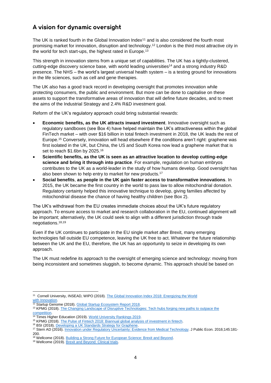# <span id="page-4-0"></span>A vision for dynamic oversight

The UK is ranked fourth in the Global Innovation Index<sup>11</sup> and is also considered the fourth most promising market for innovation, disruption and technology. <sup>12</sup> London is the third most attractive city in the world for tech start-ups, the highest rated in Europe.<sup>13</sup>

This strength in innovation stems from a unique set of capabilities. The UK has a tightly-clustered, cutting-edge discovery science base, with world leading universities<sup>14</sup> and a strong industry R&D presence. The NHS – the world's largest universal health system – is a testing ground for innovations in the life sciences, such as cell and gene therapies.

The UK also has a good track record in developing oversight that promotes innovation while protecting consumers, the public and environment. But more can be done to capitalise on these assets to support the transformative areas of innovation that will define future decades, and to meet the aims of the Industrial Strategy and 2.4% R&D investment goal.

Reform of the UK's regulatory approach could bring substantial rewards:

- **Economic benefits, as the UK attracts inward investment**. Innovative oversight such as regulatory sandboxes (see Box 4) have helped maintain the UK's attractiveness within the global FinTech market – with over \$16 billion in total fintech investment in 2018, the UK leads the rest of Europe.<sup>15</sup> Conversely, innovation will head elsewhere if the conditions aren't right: graphene was first isolated in the UK, but China, the US and South Korea now lead a graphene market that is set to reach \$1.6bn by 2025.<sup>16</sup>
- **Scientific benefits, as the UK is seen as an attractive location to develop cutting-edge science and bring it through into practice**. For example, regulation on human embryos contributes to the UK as a world-leader in the study of how humans develop. Good oversight has also been shown to help entry to market for new products.<sup>17</sup>
- **Social benefits**, **as people in the UK gain faster access to transformative innovations**. In 2015, the UK became the first country in the world to pass law to allow mitochondrial donation. Regulatory certainty helped this innovative technique to develop, giving families affected by mitochondrial disease the chance of having healthy children (see Box 2).

The UK's withdrawal from the EU creates immediate choices about the UK's future regulatory approach. To ensure access to market and research collaboration in the EU, continued alignment will be important; alternatively, the UK could seek to align with a different jurisdiction through trade negotiations. 18,19

Even if the UK continues to participate in the EU single market after Brexit, many emerging technologies fall outside EU competence, leaving the UK free to act. Whatever the future relationship between the UK and the EU, therefore, the UK has an opportunity to seize in developing its own approach.

The UK must redefine its approach to the oversight of emerging science and technology: moving from being inconsistent and sometimes sluggish, to become dynamic. This approach should be based on

 11 Cornell University, INSEAD, WIPO (2018)[. The Global Innovation Index 2018: Energizing the World](http://www.globalinnovationindex.org/gii-2018-report) with Innovation.

Startup Genome (2018). [Global Startup Ecosystem Report 2018.](https://startupgenome.com/reports/2018/GSER-2018-v1.1.pdf)

<sup>&</sup>lt;sup>13</sup> KPMG (2018). The Changing Landscape of Disruptive Technologies: Tech hubs forging new paths to outpace the [competition.](https://info.kpmg.us/content/dam/info/en/techinnovation/pdf/2018/tech-hubs-forging-new-paths.pdf)

<sup>&</sup>lt;sup>14</sup> Times Higher Education (2019). [World University Rankings 2019.](http://www.timeshighereducation.com/world-university-rankings/2019/world-ranking)

<sup>15</sup> KPMG (2018). [The Pulse of Fintech 2018: Biannual global analysis of investment in fintech.](https://assets.kpmg/content/dam/kpmg/xx/pdf/2018/07/h1-2018-pulse-of-fintech.pdf)

<sup>&</sup>lt;sup>16</sup> BSI (2018). Developing a UK Standards Strategy for Graphene.

<sup>17</sup> Stern AD (2016). [Innovation under Regulatory Uncertainty: Evidence from Medical Technology.](https://www.ncbi.nlm.nih.gov/pmc/articles/PMC5482535) J Public Econ. 2016;145:181- 200.

<sup>18</sup> Wellcome (2018)[. Building a Strong Future for European Science: Brexit and Beyond.](https://wellcome.ac.uk/sites/default/files/building-strong-future-european-science-brexit-beyond.pdf)

<sup>19</sup> Wellcome (2019)[. Brexit and Beyond: Clinical trials.](https://wellcome.ac.uk/sites/default/files/brexit-and-beyond-clinical-trials.pdf)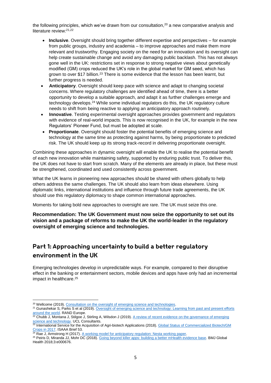the following principles, which we've drawn from our consultation,<sup>20</sup> a new comparative analysis and literature review: 21,22

- **Inclusive**. Oversight should bring together different expertise and perspectives for example from public groups, industry and academia – to improve approaches and make them more relevant and trustworthy. Engaging society on the need for an innovation and its oversight can help create sustainable change and avoid any damaging public backlash. This has not always gone well in the UK: restrictions set in response to strong negative views about genetically modified (GM) crops reduced the UK's role in the global market for GM seed, which has grown to over \$17 billion.<sup>23</sup> There is some evidence that the lesson has been learnt, but further progress is needed.
- **Anticipatory**. Oversight should keep pace with science and adapt to changing societal concerns. Where regulatory challenges are identified ahead of time, there is a better opportunity to develop a suitable approach, and adapt it as further challenges emerge and technology develops.<sup>24</sup> While some individual regulators do this, the UK regulatory culture needs to shift from being reactive to applying an anticipatory approach routinely.
- **Innovative**. Testing experimental oversight approaches provides government and regulators with evidence of real-world impacts. This is now recognised in the UK, for example in the new Regulators' Pioneer Fund, but must be adopted at scale.
- **Proportionate**. Oversight should foster the potential benefits of emerging science and technology at the same time as protecting against harms, by being proportionate to predicted risk. The UK should keep up its strong track-record in delivering proportionate oversight.

Combining these approaches in dynamic oversight will enable the UK to realise the potential benefit of each new innovation while maintaining safety, supported by enduring public trust. To deliver this, the UK does not have to start from scratch. Many of the elements are already in place, but these must be strengthened, coordinated and used consistently across government.

What the UK learns in pioneering new approaches should be shared with others globally to help others address the same challenges. The UK should also learn from ideas elsewhere. Using diplomatic links, international institutions and influence through future trade agreements, the UK should use this regulatory diplomacy to shape common international approaches.

Moments for taking bold new approaches to oversight are rare. The UK must seize this one.

**Recommendation: The UK Government must now seize the opportunity to set out its vision and a package of reforms to make the UK the world-leader in the regulatory oversight of emerging science and technologies.** 

# <span id="page-5-0"></span>Part 1: Approaching uncertainty to build a better regulatory environment in the UK

Emerging technologies develop in unpredictable ways. For example, compared to their disruptive effect in the banking or entertainment sectors, mobile devices and apps have only had an incremental impact in healthcare. 25

<sup>1</sup> <sup>20</sup> Wellcome (2019)[. Consultation on the oversight of emerging science and technologies.](https://wellcome.ac.uk/reports/blueprint-oversight-emerging-science-and-technologies)

<sup>&</sup>lt;sup>21</sup> Gunashekar S, Parks S et al (2019)[. Oversight of emerging science and technology:](https://wellcome.ac.uk/reports/blueprint-oversight-emerging-science-and-technologies) Learning from past and present efforts [around the world.](https://wellcome.ac.uk/reports/blueprint-oversight-emerging-science-and-technologies) RAND Europe.

 $22$  Chubb J, Montana J, Stilgoe J, Stirling A, Wilsdon J (2019). A review of recent evidence on the governance of emerging cience and technology. UCL Consultants.

Science and technology. OCL Consultants.<br><sup>23</sup> International Service for the Acquisition of Agri-biotech Applications (2018). Global Status of Commercialized Biotech/GM [Crops in 2017.](http://www.isaaa.org/resources/publications/briefs/53/download/isaaa-brief-53-2017.pdf) ISAAA Brief 53.

<sup>&</sup>lt;sup>24</sup> Rae J, Armstrong H (2017). [A working model for anticipatory regulation: Nesta working paper.](https://www.nesta.org.uk/report/a-working-model-for-anticipatory-regulation-a-working-paper/)

<sup>&</sup>lt;sup>25</sup> Peiris D, Miranda JJ, Mohr DC (2018)[. Going beyond killer apps: building a better mHealth evidence base.](https://gh.bmj.com/content/3/1/e000676) BMJ Global Health 2018;3:e000676.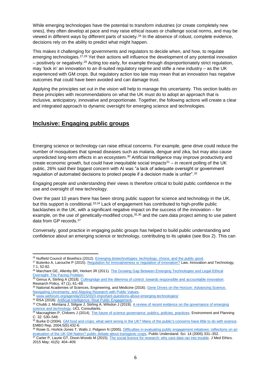While emerging technologies have the potential to transform industries (or create completely new ones), they often develop at pace and may raise ethical issues or challenge social norms, and may be viewed in different ways by different parts of society.<sup>26</sup> In the absence of robust, complete evidence, decisions rely on the ability to predict what might happen.

This makes it challenging for governments and regulators to decide when, and how, to regulate emerging technologies.<sup>27,28</sup> Yet their actions will influence the development of any potential innovation – positively or negatively.<sup>29</sup> Acting too early, for example through disproportionately strict regulation, may 'lock in' an innovation to an ill-suited regulatory regime and stifle a new industry – as the UK experienced with GM crops. But regulatory action too late may mean that an innovation has negative outcomes that could have been avoided and can damage trust.

Applying the principles set out in the vision will help to manage this uncertainty. This section builds on these principles with recommendations on what the UK must do to adopt an approach that is inclusive, anticipatory, innovative and proportionate. Together, the following actions will create a clear and integrated approach to dynamic oversight for emerging science and technologies.

## <span id="page-6-0"></span>**Inclusive: Engaging public groups**

Emerging science or technology can raise ethical concerns. For example, gene drive could reduce the number of mosquitoes that spread diseases such as malaria, dengue and zika, but may also cause unpredicted long-term effects in an ecosystem. <sup>30</sup> Artificial Intelligence may improve productivity and create economic growth, but could have inequitable social impacts $31 -$  in recent polling of the UK public, 26% said their biggest concern with AI was "a lack of adequate oversight or government regulation of automated decisions to protect people if a decision made is unfair".<sup>32</sup>

Engaging people and understanding their views is therefore critical to build public confidence in the use and oversight of new technology.

Over the past 10 years there has been strong public support for science and technology in the UK, but this support is conditional.33,34 Lack of engagement has contributed to high-profile public backlashes in the UK, with a significant negative impact on the success of the innovation – for example, on the use of genetically-modified crops,<sup>35,36</sup> and the care.data project aiming to use patient data from GP records.<sup>37</sup>

Conversely, good practice in engaging public groups has helped to build public understanding and confidence about an emerging science or technology, contributing to its uptake (see Box 2). This can

<sup>1</sup> <sup>26</sup> Nuffield Council of Bioethics (2012). [Emerging biotechnologies: technology, choice, and the public good.](http://nuffieldbioethics.org/project/emerging-biotechnologies)

<sup>27</sup> Butenko A, Larouche P (2015). [Regulation for innovativeness or regulation of innovation?](https://www.tandfonline.com/doi/abs/10.1080/17579961.2015.1052643) Law, Innovation and Technology, 7:1, 52-82.

<sup>&</sup>lt;sup>28</sup> Marchant GE, Allenby BR, Herkert JR (2011). The Growing Gap Between Emerging Technologies and Legal-Ethical [Oversight: The Pacing Problem.](https://rd.springer.com/book/10.1007%2F978-94-007-1356-7)

<sup>&</sup>lt;sup>29</sup> Genus A, Stirling A (2018). [Collingridge and the dilemma of control: towards responsible and accountable innovation.](http://www.sciencedirect.com/science/article/pii/S0048733317301622) Research Policy, 47 (1), 61–69.

<sup>30</sup> National Academies of Sciences, Engineering, and Medicine (2016). Gene Drives on the Horizon: Advancing Science, [Navigating Uncertainty, and Aligning Research with Public Values.](https://doi.org/10.17226/23405)<br>31 years uncertainty, and Aligning Research with Public Values.

[www.weforum.org/agenda/2015/03/3-important-questions-about-emerging-technologies/](http://www.weforum.org/agenda/2015/03/3-important-questions-about-emerging-technologies/)

<sup>32</sup> RSA (2018). [Artificial Intelligence: Real Public Engagement.](https://www.thersa.org/discover/publications-and-articles/reports/artificial-intelligence-real-public-engagement)

<sup>33</sup> Chubb J, Montana J, Stilgoe J, Stirling A, Wilsdon J (2019). A review of recent evidence on the governance of emerging [science and technology.](https://wellcome.ac.uk/reports/blueprint-oversight-emerging-science-and-technologies) UCL Consultants.

<sup>&</sup>lt;sup>34</sup> Macnaghten P, Chilvers J (2014)[. The future of science governance: publics, policies, practices.](https://www.researchgate.net/publication/263662223_The_future_of_science_governance_Publics_policies_practices) Environment and Planning C: 32: 530–548.

<sup>&</sup>lt;sup>35</sup> Burke D (2004). **GM food and crops:** what went wrong in the UK? Many of the public's concerns have little to do with science. EMBO Rep. 2004;5(5):432-6.

<sup>36</sup> Rowe G, Horlick-Jones T, Walls J, Pidgeon N (2005)[. Difficulties in evaluating public engagement initiatives: reflections on an](https://journals.sagepub.com/doi/10.1177/0963662505056611)  [evaluation of the UK GM Nation? public debate about transgenic crops.](https://journals.sagepub.com/doi/10.1177/0963662505056611) Public Understand. Sci. 14 (2005) 331–352.

<sup>&</sup>lt;sup>37</sup> Carter P, Laurie GT, Dixon-Woods M (2015)[. The social licence for research: why care.data ran into trouble.](https://jme.bmj.com/content/41/5/404) J Med Ethics. 2015 May; 41(5): 404–409.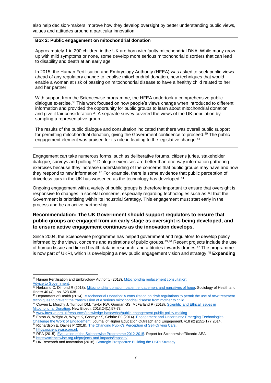also help decision-makers improve how they develop oversight by better understanding public views, values and attitudes around a particular innovation.

#### **Box 2: Public engagement on mitochondrial donation**

Approximately 1 in 200 children in the UK are born with faulty mitochondrial DNA. While many grow up with mild symptoms or none, some develop more serious mitochondrial disorders that can lead to disability and death at an early age.

In 2015, the Human Fertilisation and Embryology Authority (HFEA) was asked to seek public views ahead of any regulatory change to legalise mitochondrial donation, new techniques that would enable a woman at risk of passing on mitochondrial disease to have a healthy child related to her and her partner.

With support from the Sciencewise programme, the HFEA undertook a comprehensive public dialogue exercise.<sup>38</sup> This work focused on how people's views change when introduced to different information and provided the opportunity for public groups to learn about mitochondrial donation and give it fair consideration.<sup>39</sup> A separate survey covered the views of the UK population by sampling a representative group.

The results of the public dialogue and consultation indicated that there was overall public support for permitting mitochondrial donation, giving the Government confidence to proceed.<sup>40</sup> The public engagement element was praised for its role in leading to the legislative change.<sup>41</sup>

Engagement can take numerous forms, such as deliberative forums, citizens juries, stakeholder dialogue, surveys and polling.<sup>42</sup> Dialogue exercises are better than one-way information gathering exercises because they increase understanding of the concerns that public groups may have and how they respond to new information.<sup>43</sup> For example, there is some evidence that public perception of driverless cars in the UK has worsened as the technology has developed.<sup>44</sup>

Ongoing engagement with a variety of public groups is therefore important to ensure that oversight is responsive to changes in societal concerns, especially regarding technologies such as AI that the Government is prioritising within its Industrial Strategy. This engagement must start early in the process and be an active partnership.

## **Recommendation: The UK Government should support regulators to ensure that public groups are engaged from an early stage as oversight is being developed, and to ensure active engagement continues as the innovation develops.**

Since 2004, the Sciencewise programme has helped government and regulators to develop policy informed by the views, concerns and aspirations of public groups.45,46 Recent projects include the use of human tissue and linked health data in research, and attitudes towards drones.<sup>47</sup> The programme is now part of UKRI, which is developing a new public engagement vision and strategy.<sup>48</sup> **Expanding** 

<sup>38</sup> Human Fertilisation and Embryology Authority (2013)[. Mitochondria replacement consultation:](https://www.hfea.gov.uk/media/2618/mitochondria_replacement_consultation_-_advice_for_government.pdf) [Advice to Government.](https://www.hfea.gov.uk/media/2618/mitochondria_replacement_consultation_-_advice_for_government.pdf)

<sup>39</sup> Herbrand C, Dimond R (2018). [Mitochondrial donation, patient engagement and narratives of hope.](http://dx.doi.org/10.1111/1467-9566.12631) Sociology of Health and Illness 40 (4) , pp. 623-638.

<sup>&</sup>lt;sup>40</sup> Department of Health (2014). Mitochondrial Donation: A consultation on draft regulations to permit the use of new treatment [techniques to prevent the transmission of a serious mitochondrial disease from mother to child.](https://assets.publishing.service.gov.uk/government/uploads/system/uploads/attachment_data/file/285251/mitochondrial_donation_consultation_document_24_02_14_Accessible_V0.4.pdf)

<sup>&</sup>lt;sup>41</sup> Craven L, Murphy J, Turnbull DM, Taylor RW, Gorman GS, McFarland R (2018). Scientific and Ethical Issues in [Mitochondrial Donation.](https://www.ncbi.nlm.nih.gov/pmc/articles/PMC5890307/) New Bioeth. 2018;24(1):57-73.

<sup>42</sup> [www.involve.org.uk/resources/knowledge-base/what/public-engagement-public-policy-making](http://www.involve.org.uk/resources/knowledge-base/what/public-engagement-public-policy-making)

<sup>43</sup> Eaton W, Wright W, Whyte K, Gasteyer S, Gehrke PJ (2014). [Engagement and Uncertainty: Emerging Technologies](https://files.eric.ed.gov/fulltext/EJ1029979.pdf) 

[Challenge the Work of Engagement.](https://files.eric.ed.gov/fulltext/EJ1029979.pdf) Journal of Higher Education Outreach and Engagement, v18 n2 p151-177 2014. 44 Richardson E, Davies P (2018). [The Changing Public's Perception of Self-Driving Cars.](https://doi.org/10.13140/rg.2.2.34641.02402)

<sup>45</sup> [https://sciencewise.org.uk](https://sciencewise.org.uk/)

<sup>46</sup> RPA (2015). [Evaluation of the Sciencewise Programme 2012-2015.](https://sciencewise.org.uk/wp-content/uploads/2018/11/SW-Evaluation-FR-230315.pdf) Report for Sciencewise/Ricardo-AEA.

<sup>47</sup> <https://sciencewise.org.uk/projects-and-impacts/impacts/>

<sup>&</sup>lt;sup>48</sup> UK Research and Innovation (2018). Strategic Prospectus: Building the UKRI Strategy.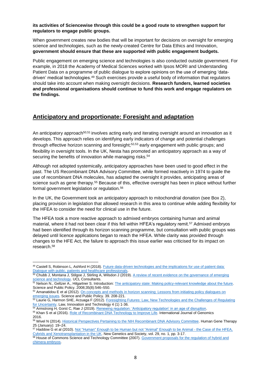#### **its activities of Sciencewise through this could be a good route to strengthen support for regulators to engage public groups.**

When government creates new bodies that will be important for decisions on oversight for emerging science and technologies, such as the newly-created Centre for Data Ethics and Innovation, **government should ensure that these are supported with public engagement budgets.**

Public engagement on emerging science and technologies is also conducted outside government. For example, in 2018 the Academy of Medical Sciences worked with Ipsos MORI and Understanding Patient Data on a programme of public dialogue to explore opinions on the use of emerging 'datadriven' medical technologies. <sup>49</sup> Such exercises provide a useful body of information that regulators should take into account when making oversight decisions. **Research funders, learned societies and professional organisations should continue to fund this work and engage regulators on the findings.**

## <span id="page-8-0"></span>**Anticipatory and proportionate: Foresight and adaptation**

An anticipatory approach<sup>50,51</sup> involves acting early and iterating oversight around an innovation as it develops. This approach relies on identifying early indicators of change and potential challenges through effective horizon scanning and foresight;<sup>52,53</sup> early engagement with public groups; and flexibility in oversight tools. In the UK, Nesta has promoted an anticipatory approach as a way of securing the benefits of innovation while managing risks.<sup>54</sup>

Although not adopted systemically, anticipatory approaches have been used to good effect in the past. The US Recombinant DNA Advisory Committee, while formed reactively in 1974 to guide the use of recombinant DNA molecules, has adapted the oversight it provides, anticipating areas of science such as gene therapy.<sup>55</sup> Because of this, effective oversight has been in place without further formal government legislation or regulation.<sup>56</sup>

In the UK, the Government took an anticipatory approach to mitochondrial donation (see Box 2), placing provision in legislation that allowed research in this area to continue while adding flexibility for the HFEA to consider the need for clinical use in the future.

The HFEA took a more reactive approach to admixed embryos containing human and animal material, where it had not been clear if this fell within HFEA's regulatory remit.<sup>57</sup> Admixed embryos had been identified through its horizon scanning programme, but consultation with public groups was delayed until licence applications began to reach the HFEA. While clarity was provided through changes to the HFE Act, the failure to approach this issue earlier was criticised for its impact on research.<sup>58</sup>

<sup>55</sup> Khan S et al (2016). [Role of Recombinant DNA Technology to Improve Life.](https://www.hindawi.com/journals/ijg/2016/2405954/cta/) International Journal of Genomics 2016.

<sup>1</sup> 49 Castell S, Robinson L, Ashford H (2018). Future data-driven technologies and the implications for use of patient data: [Dialogue with public, patients and healthcare professionals.](https://acmedsci.ac.uk/file-download/6616969)

<sup>&</sup>lt;sup>50</sup> Chubb J, Montana J, Stilgoe J, Stirling A, Wilsdon J (2019). A review of recent evidence on the governance of emerging [science and technology.](https://wellcome.ac.uk/reports/blueprint-oversight-emerging-science-and-technologies) UCL Consultants.

<sup>&</sup>lt;sup>51</sup> Nelson N., Geltzer A., Hilgartner S. Introduction: The anticipatory state: Making policy-relevant knowledge about the future. Science and Public Policy. 2008;35(8):546–550.

<sup>52</sup> Amanatidou E et al (2012). On concepts and methods in horizon scanning: Lessons from initiating policy dialogues on [emerging issues.](https://academic.oup.com/spp/article/39/2/208/1619090) Science and Public Policy. 39. 208-221.

<sup>53</sup> Laurie G, Harmon SHE, Arzuaga F (2012). Foresighting Futures: Law, New Technologies and the Challenges of Regulating [for Uncertainty.](https://www.tandfonline.com/doi/pdf/10.5235/175799612800650626) Law, Innovation and Technology 4 (1) 1-36.

<sup>&</sup>lt;sup>54</sup> Armstrong H, Gorst C, Rae J (2019). [Renewing regulation: 'Anticipatory regulation' in an age of disruption.](https://www.nesta.org.uk/report/renewing-regulation-anticipatory-regulation-in-an-age-of-disruption/)

<sup>&</sup>lt;sup>56</sup> Wivel N (2014). [Historical Perspectives Pertaining to the NIH Recombinant DNA Advisory Committee.](https://www.ncbi.nlm.nih.gov/pmc/articles/PMC3900000/) Human Gene Therapy 25 (January): 19–24.

<sup>&</sup>lt;sup>57</sup> Haddow G et al (2010)[. Not "Human" Enough to be Human but not "Animal" Enough to be Animal -](https://www.tandfonline.com/doi/abs/10.1080/14636770903561182) the Case of the HFEA, [Cybrids and Xenotransplantation in the UK.](https://www.tandfonline.com/doi/abs/10.1080/14636770903561182) New Genetics and Society, vol. 29, no. 1, pp. 3-17.

<sup>&</sup>lt;sup>58</sup> House of Commons Science and Technology Committee (2007). Government proposals for the regulation of hybrid and [chimera embryos.](https://publications.parliament.uk/pa/cm200607/cmselect/cmsctech/272/27202.htm)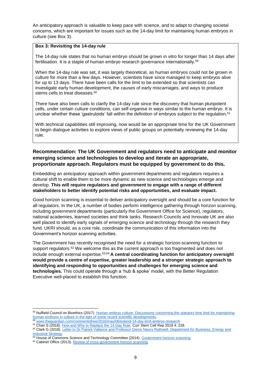An anticipatory approach is valuable to keep pace with science, and to adapt to changing societal concerns, which are important for issues such as the 14-day limit for maintaining human embryos in culture (see Box 3).

#### **Box 3: Revisiting the 14-day rule**

The 14-day rule states that no human embryo should be grown in vitro for longer than 14 days after fertilisation. It is a staple of human embryo research governance internationally.<sup>59</sup>

When the 14-day rule was set, it was largely theoretical, as human embryos could not be grown in culture for more than a few days. However, scientists have since managed to keep embryos alive for up to 13 days. There have been calls for the limit to be extended so that scientists can investigate early human development, the causes of early miscarriages, and ways to produce stems cells to treat diseases.<sup>60</sup>

There have also been calls to clarify the 14-day rule since the discovery that human pluripotent cells, under certain culture conditions, can self-organise in ways similar to the human embryo. It is unclear whether these 'gastruloids' fall within the definition of embryos subject to the regulation.<sup>61</sup>

With technical capabilities still improving, now would be an appropriate time for the UK Government to begin dialogue activities to explore views of public groups on potentially reviewing the 14-day rule.

## **Recommendation: The UK Government and regulators need to anticipate and monitor emerging science and technologies to develop and iterate an appropriate, proportionate approach. Regulators must be equipped by government to do this.**

Embedding an anticipatory approach within government departments and regulators requires a cultural shift to enable them to be more dynamic as new science and technologies emerge and develop. **This will require regulators and government to engage with a range of different stakeholders to better identify potential risks and opportunities, and evaluate impact.**

Good horizon scanning is essential to deliver anticipatory oversight and should be a core function for all regulators. In the UK, a number of bodies perform intelligence gathering through horizon scanning, including government departments (particularly the Government Office for Science), regulators, national academies, learned societies and think tanks. Research Councils and Innovate UK are also well placed to identify early signals of emerging science and technology through the research they fund. UKRI should, as a core role, coordinate the communication of this information into the Government's horizon scanning activities.

The Government has recently recognised the need for a strategic horizon-scanning function to support regulators.<sup>62</sup> We welcome this as the current approach is too fragmented and does not include enough external expertise. 63,64 **A central coordinating function for anticipatory oversight would provide a centre of expertise, greater leadership and a stronger strategic approach to identifying and responding to opportunities and challenges for emerging science and technologies.** This could operate through a 'hub & spoke' model, with the Better Regulation Executive well-placed to establish this function.

- <sup>60</sup> [www.theguardian.com/commentisfree/2016/may/06/extend-14-day-limit-embryo-research](https://www.theguardian.com/commentisfree/2016/may/06/extend-14-day-limit-embryo-research)
- <sup>61</sup> Chan S (2018). [How and Why to Replace the 14-Day Rule.](https://doi.org/10.1007/s40778-018-0135-7) Curr Stem Cell Rep 2018 4: 228.

<sup>&</sup>lt;sup>59</sup> Nuffield Council on Bioethics (2017). Human embryo culture: Discussions concerning the statutory time limit for maintaining [human embryos in culture in the light of some recent scientific developments.](http://nuffieldbioethics.org/project/workshop-time-limits-maintaining-human-embryos-research)

<sup>62</sup> Clark G (2018). Letter to Dr Patrick Vallance and Professor Dame Nancy Rothwell. Department for Business, Energy and [Industrial Strategy.](https://assets.publishing.service.gov.uk/government/uploads/system/uploads/attachment_data/file/750370/beis-reforming-the-governance-of-technological-innovation.pdf)

<sup>63</sup> House of Commons Science and Technology Committee (2014). [Government horizon scanning.](https://www.parliament.uk/business/committees/committees-a-z/commons-select/science-and-technology-committee/inquiries/parliament-2010/government-horizon-scanning/)

<sup>&</sup>lt;sup>64</sup> Cabinet Office (2013). Review of cross-government horizon scanning.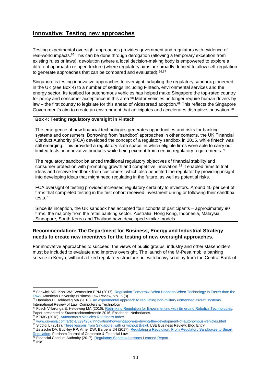# <span id="page-10-0"></span>**Innovative: Testing new approaches**

Testing experimental oversight approaches provides government and regulators with evidence of real-world impacts.<sup>65</sup> This can be done through derogation (allowing a temporary exception from existing rules or laws), devolution (where a local decision-making body is empowered to explore a different approach) or open texture (where regulatory aims are broadly defined to allow self-regulation to generate approaches that can be compared and evaluated). 66,67

Singapore is testing innovative approaches to oversight, adapting the regulatory sandbox pioneered in the UK (see Box 4) to a number of settings including Fintech, environmental services and the energy sector. Its testbed for autonomous vehicles has helped make Singapore the top-rated country for policy and consumer acceptance in this area.<sup>68</sup> Motor vehicles no longer require human drivers by law – the first country to legislate for this ahead of widespread adoption.<sup>69</sup> This reflects the Singapore Government's aim to create an environment that anticipates and accelerates disruptive innovation.<sup>70</sup>

## **Box 4: Testing regulatory oversight in Fintech**

The emergence of new financial technologies generates opportunities and risks for banking systems and consumers. Borrowing from 'sandbox' approaches in other contexts, the UK Financial Conduct Authority (FCA) developed the concept of a regulatory sandbox in 2015, while fintech was still emerging. This provided a regulatory 'safe space' in which eligible firms were able to carry out limited tests on innovative products while being exempt from certain regulatory requirements.<sup>71</sup>

The regulatory sandbox balanced traditional regulatory objectives of financial stability and consumer protection with promoting growth and competitive innovation.<sup>72</sup> It enabled firms to trial ideas and receive feedback from customers, which also benefited the regulator by providing insight into developing ideas that might need regulating in the future, as well as potential risks.

FCA oversight of testing provided increased regulatory certainty to investors. Around 40 per cent of firms that completed testing in the first cohort received investment during or following their sandbox tests.<sup>73</sup>

Since its inception, the UK sandbox has accepted four cohorts of participants – approximately 90 firms, the majority from the retail banking sector. Australia, Hong Kong, Indonesia, Malaysia, Singapore, South Korea and Thailand have developed similar models.

## **Recommendation: The Department for Business, Energy and Industrial Strategy needs to create new incentives for the testing of new oversight approaches.**

For innovative approaches to succeed, the views of public groups, industry and other stakeholders must be included to evaluate and improve oversight. The launch of the M-Pesa mobile banking service in Kenya, without a fixed regulatory structure but with heavy scrutiny from the Central Bank of

**<sup>.</sup>** 65 Fenwick MD, Kaal WA, Vermeulen EPM (2017). Regulation Tomorrow: What Happens When Technology Is Faster than the [Law?](http://digitalcommons.wcl.american.edu/aublr/vol6/iss3/1) American University Business Law Review, Vol. 6 (3).

<sup>&</sup>lt;sup>66</sup> Haomiao D, Heldeweg MA (2018). An experimental approach to regulating non-military unmanned aircraft systems. International Review of Law, Computers & Technology,

<sup>67</sup> Fosch Villaronga E, Heldeweg MA (2016). [Rethinking Regulation for Experimenting with Emerging Robotics Technologies.](https://research.utwente.nl/en/publications/rethinking-regulation-for-experimenting-with-emerging-robotics-te) Paper presented at Staatsrechtconferentie 2016, Enschede, Netherlands.

<sup>&</sup>lt;sup>68</sup> KPMG (2018). Autonomous Vehicles Readiness Index.

<sup>69</sup> [www.cio-asia.com/article/3294207/innovation/how-singapore-is-driving-the-development-of-autonomous-vehicles.html](http://www.cio-asia.com/article/3294207/innovation/how-singapore-is-driving-the-development-of-autonomous-vehicles.html)

<sup>&</sup>lt;sup>70</sup> Siddiqi L (2017)[. Three lessons from Singapore, with or without Brexit.](https://blogs.lse.ac.uk/businessreview/2017/10/11/three-lessons-from-singapore-with-or-without-brexit/) LSE Business Review: Blog Entry.

<sup>71</sup> Zetzsche DA, Buckley RP, Arner DW, Barberis JN (2017). [Regulating a Revolution: From Regulatory Sandboxes to Smart](https://papers.ssrn.com/sol3/papers.cfm?abstract_id=3018534)  [Regulation.](https://papers.ssrn.com/sol3/papers.cfm?abstract_id=3018534) Fordham Journal of Corporate & Financial Law.

<sup>72</sup> Financial Conduct Authority (2017)[. Regulatory Sandbox Lessons Learned Report.](https://www.fca.org.uk/publications/research/regulatory-sandbox-lessons-learned-report)

<sup>73</sup> Ibid.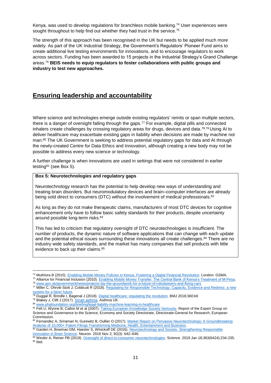Kenya, was used to develop regulations for branchless mobile banking.<sup>74</sup> User experiences were sought throughout to help find out whether they had trust in the service.<sup>75</sup>

The strength of this approach has been recognised in the UK but needs to be applied much more widely. As part of the UK Industrial Strategy, the Government's Regulators' Pioneer Fund aims to create additional live testing environments for innovations, and to encourage regulators to work across sectors. Funding has been awarded to 15 projects in the Industrial Strategy's Grand Challenge areas.<sup>76</sup> **BEIS needs to equip regulators to foster collaborations with public groups and industry to test new approaches.** 

# <span id="page-11-0"></span>**Ensuring leadership and accountability**

Where science and technologies emerge outside existing regulators' remits or span multiple sectors, there is a danger of oversight falling through the gaps.<sup>77</sup> For example, digital pills and connected inhalers create challenges by crossing regulatory areas for drugs, devices and data.78,79 Using AI to deliver healthcare may exacerbate existing gaps in liability when decisions are made by machine not man. <sup>80</sup> The UK Government is seeking to address potential regulatory gaps for data and AI through the newly-created Centre for Data Ethics and Innovation, although creating a new body may not be possible to address every new science or technology.

A further challenge is when innovations are used in settings that were not considered in earlier testing<sup>81</sup> (see Box 5).

#### **Box 5: Neurotechnologies and regulatory gaps**

Neurotechnology research has the potential to help develop new ways of understanding and treating brain disorders. But neuromodulatory devices and brain–computer interfaces are already being sold direct to consumers (DTC) without the involvement of medical professionals.<sup>82</sup>

As long as they do not make therapeutic claims, manufacturers of most DTC devices for cognitive enhancement only have to follow basic safety standards for their products, despite uncertainty around possible long-term risks.<sup>83</sup>

This has led to criticism that regulatory oversight of DTC neurotechnologies is insufficient. The number of products, the dynamic nature of software applications that can change with each update and the potential ethical issues surrounding these innovations all create challenges.<sup>84</sup> There are no industry wide safety standards, and the market has many companies that sell products with little evidence to back up their claims.<sup>85</sup>

<sup>74</sup> Muthiora B (2015). Enabling Mobile Money Policies [in Kenya. Fostering a Digital Financial Revolution.](http://t1.daumcdn.net/brunch/service/user/P5W/file/mxAyGPsEeNdS1FAkt9vWxBJVHSg.pdf) London: GSMA. 75 Alliance for Financial Inclusion (2010). [Enabling Mobile Money Transfer: The Central Bank of Kenya's Treatment of M-Pesa.](https://www.gsma.com/mobilefordevelopment/wp-content/uploads/2013/09/enablingmobilemoneytransfer92.pdf)

<sup>76</sup> [www.gov.uk/government/news/projects-lay-the-groundwork-for-a-future-of-robolawyers-and-flying-cars](https://www.gov.uk/government/news/projects-lay-the-groundwork-for-a-future-of-robolawyers-and-flying-cars)

<sup>77</sup> Miller C, Ohrvik-Stott J, Coldicutt R (2018). [Regulating for Responsible Technology: Capacity, Evidence and Redress: a new](https://doteveryone.org.uk/project/regulating-for-responsible-technology/)  [system for a fairer future.](https://doteveryone.org.uk/project/regulating-for-responsible-technology/)

<sup>&</sup>lt;sup>78</sup> Duggal R, Brindle I, Bagenal J (2018). <u>Digital healthcare: regulating the revolution</u>. BMJ 2018;360:k6

<sup>&</sup>lt;sup>79</sup> Blakey J, Clift J (2017)[. Smart asthma.](http://www.asthma.org.uk/smartasthma) Asthma UK.

<sup>80</sup> [www.phgfoundation.org/briefing/legal-liability-machine-learning-in-healthcare](http://www.phgfoundation.org/briefing/legal-liability-machine-learning-in-healthcare)

<sup>81</sup> Felt U, Wynne B, Callon M et al (2007). [Taking European Knowledge Society Seriously.](https://ec.europa.eu/research/science-society/document_library/pdf_06/european-knowledge-society_en.pdf) Report of the Expert Group on Science and Governance to the Science, Economy and Society Directorate, Directorate-General for Research, European Commission.

<sup>82</sup> Fernandez A, Sriraman N, Gurewitz B, Oullier O (2017). Market Report on Pervasive Neurotechnology: A Groundbreaking [Analysis of 10,000+ Patent Filings Transforming Medicine, Health, Entertainment and Business.](https://sharpbrains.com/pervasive-neurotechnology/) 

<sup>83</sup> Garden H, Bowman DM, Haesler S, Winickoff DE (2016). Neurotechnology and Society: Strengthening Responsible [Innovation in Brain Science.](https://asu.pure.elsevier.com/en/publications/neurotechnology-and-society-strengthening-responsible-innovation-) Neuron. 2016 Nov 2; 92(3): 642–646.

<sup>84</sup> Wexler A, Reiner PB (2019). [Oversight of direct-to-consumer neurotechnologies.](http://science.sciencemag.org/content/363/6424/234) Science. 2019 Jan 18;363(6424):234-235.  $85$  Ibid.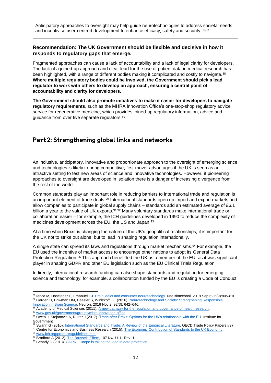Anticipatory approaches to oversight may help guide neurotechnologies to address societal needs and incentivise user-centred development to enhance efficacy, safety and security.<sup>86,87</sup>

### **Recommendation: The UK Government should be flexible and decisive in how it responds to regulatory gaps that emerge.**

Fragmented approaches can cause a lack of accountability and a lack of legal clarity for developers. The lack of a joined-up approach and clear lead for the use of patient data in medical research has been highlighted, with a range of different bodies making it complicated and costly to navigate.<sup>88</sup> **Where multiple regulatory bodies could be involved, the Government should pick a lead regulator to work with others to develop an approach, ensuring a central point of accountability and clarity for developers.**

**The Government should also promote initiatives to make it easier for developers to navigate regulatory requirements**, such as the MHRA Innovation Office's one-stop-shop regulatory advice service for regenerative medicine, which provides joined-up regulatory information, advice and guidance from over five separate regulators.<sup>89</sup>

## <span id="page-12-0"></span>Part 2: Strengthening global links and networks

An inclusive, anticipatory, innovative and proportionate approach to the oversight of emerging science and technologies is likely to bring competitive, first-mover advantages if the UK is seen as an attractive setting to test new areas of science and innovative technologies. However, if pioneering approaches to oversight are developed in isolation there is a danger of increasing divergence from the rest of the world.

Common standards play an important role in reducing barriers to international trade and regulation is an important element of trade deals.<sup>90</sup> International standards open up import and export markets and allow companies to participate in global supply chains – standards add an estimated average of £6.1 billion a year to the value of UK exports.<sup>91,92</sup> Many voluntary standards make international trade or collaboration easier – for example, the ICH guidelines developed in 1990 to reduce the complexity of medicines development across the EU, the US and Japan.<sup>93</sup>

At a time when Brexit is changing the nature of the UK's geopolitical relationships, it is important for the UK not to strike out alone, but to lead in shaping regulation internationally.

A single state can spread its laws and regulations through market mechanisms.<sup>94</sup> For example, the EU used the incentive of market access to encourage other nations to adopt its General Data Protection Regulation.<sup>95</sup> This approach benefitted the UK as a member of the EU, as it was significant player in shaping GDPR and other EU legislation such as the EU Clinical Trials Regulation.

Indirectly, international research funding can also shape standards and regulation for emerging science and technology: for example, a collaboration funded by the EU is creating a Code of Conduct

1

<sup>86</sup> Ienca M, Haselager P, Emanuel EJ[. Brain leaks and consumer neurotechnology.](https://www.nature.com/articles/nbt.4240) Nat Biotechnol. 2018 Sep 6;36(9):805-810. 87 Garden H, Bowman DM, Haesler S, Winickoff DE (2016). Neurotechnology and Society: Strengthening Responsible [Innovation in Brain Science.](https://asu.pure.elsevier.com/en/publications/neurotechnology-and-society-strengthening-responsible-innovation-) Neuron. 2016 Nov 2; 92(3): 642–646.

<sup>88</sup> Academy of Medical Sciences (2011). [A new pathway for the regulation and governance of health research.](https://acmedsci.ac.uk/file-download/35208-newpathw.pdf) 89 [www.gov.uk/government/groups/mhra-innovation-office](http://www.gov.uk/government/groups/mhra-innovation-office)

<sup>90</sup> Owen J, Stojanovic A, Rutter J (2017). [Trade after Brexit: Options for the UK's relationship with the EU.](http://www.instituteforgovernment.org.uk/publications/trade-after-brexit) Institute for Government

<sup>91</sup> Swann G (2010)[. International Standards and Trade: A Review of the](https://doi.org/10.1787/5kmdbg9xktwg-en) Empirical Literature. OECD Trade Policy Papers #97.

<sup>92</sup> Centre for Economics and Business Research (2015). The Economic Contribution of Standards to the UK Economy.

<sup>93</sup> [www.ich.org/products/guidelines.html](http://www.ich.org/products/guidelines.html)

<sup>94</sup> Bradford A (2012). [The Brussels Effect,](https://www.law.columbia.edu/media_inquiries/news_events/2013/january2013/brussels-effect) 107 Nw. U. L. Rev. 1.

<sup>95</sup> Benady D (2018)[. GDPR: Europe is taking the lead in data protection.](https://www.raconteur.net/hr/gdpr-europe-lead-data-protection)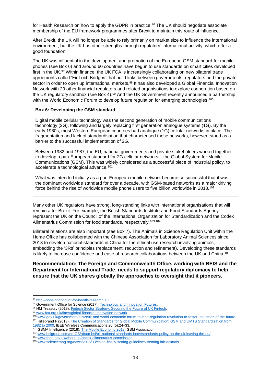for Health Research on how to apply the GDPR in practice.<sup>96</sup> The UK should negotiate associate membership of the EU framework programmes after Brexit to maintain this route of influence.

After Brexit, the UK will no longer be able to rely primarily on market size to influence the international environment, but the UK has other strengths through regulators' international activity, which offer a good foundation.

The UK was influential in the development and promotion of the European GSM standard for mobile phones (see Box 6) and around 60 countries have begun to use standards on smart cities developed first in the UK.<sup>97</sup> Within finance, the UK FCA is increasingly collaborating on new bilateral trade agreements called 'FinTech Bridges' that build links between governments, regulators and the private sector in order to open up international markets.<sup>98</sup> It has also developed a Global Financial Innovation Network with 29 other financial regulators and related organisations to explore cooperation based on the UK regulatory sandbox (see Box 4).<sup>99</sup> And the UK Government recently announced a partnership with the World Economic Forum to develop future regulation for emerging technologies.<sup>100</sup>

#### **Box 6: Developing the GSM standard**

Digital mobile cellular technology was the second generation of mobile communications technology (2G), following and largely replacing first generation analogue systems (1G). By the early 1980s, most Western European countries had analogue (1G) cellular networks in place. The fragmentation and lack of standardisation that characterised these networks, however, stood as a barrier to the successful implementation of 2G.

Between 1982 and 1987, the EU, national governments and private stakeholders worked together to develop a pan-European standard for 2G cellular networks – the Global System for Mobile Communications (GSM). This was widely considered as a successful piece of industrial policy, to accelerate a technological advance.<sup>101</sup>

What was intended initially as a pan-European mobile network became so successful that it was the dominant worldwide standard for over a decade, with GSM-based networks as a major driving force behind the rise of worldwide mobile phone users to five billion worldwide in 2018.<sup>102</sup>

Many other UK regulators have strong, long-standing links with international organisations that will remain after Brexit. For example, the British Standards Institute and Food Standards Agency represent the UK on the Council of the International Organization for Standardization and the Codex Alimentarius Commission for food standards, respectively. 103,104

Bilateral relations are also important (see Box 7). The Animals in Science Regulation Unit within the Home Office has collaborated with the Chinese Association for Laboratory Animal Sciences since 2013 to develop national standards in China for the ethical use research involving animals, embedding the '3Rs' principles (replacement, reduction and refinement). Developing these standards is likely to increase confidence and ease of research collaborations between the UK and China.<sup>105</sup>

## **Recommendation: The Foreign and Commonwealth Office, working with BEIS and the Department for International Trade, needs to support regulatory diplomacy to help ensure that the UK shares globally the approaches to oversight that it pioneers.**

**<sup>.</sup>** 96 [http://code-of-conduct-for-health-research.eu](http://code-of-conduct-for-health-research.eu/)

<sup>97</sup> Government Office for Science (2017). Technology and Innovation Futures.

<sup>98</sup> HM Treasury (2018). [Fintech Sector Strategy: Securing the Future of UK Fintech.](https://assets.publishing.service.gov.uk/government/uploads/system/uploads/attachment_data/file/692874/Fintech_Sector_Strategy_print.pdf)

<sup>99</sup> [www.fca.org.uk/firms/global-financial-innovation-network](http://www.fca.org.uk/firms/global-financial-innovation-network)

[www.gov.uk/government/news/uk-and-world-economic-forum-to-lead-regulation-revolution-to-foster-industries-of-the-future](http://www.gov.uk/government/news/uk-and-world-economic-forum-to-lead-regulation-revolution-to-foster-industries-of-the-future)

<sup>101</sup> Hillebrand F (2013). The Creation of Standards for Global Mobile Communication: GSM and UMTS Standardization from [1982 to 2000.](https://doi.org/10.1109/MWC.2013.6664470) IEEE Wireless Communications 20 (5):24–33.

<sup>&</sup>lt;sup>102</sup> GSMA Intelligence (2018)[. The Mobile Economy 2018.](https://www.gsma.com/mobileeconomy/wp-content/uploads/2018/02/The-Mobile-Economy-Global-2018.pdf) GSM Association.

<sup>103</sup> [www.bsigroup.com/en-GB/about-bsi/uk-national-standards-body/standards-policy-on-the-uk-leaving-the-eu/](http://www.bsigroup.com/en-GB/about-bsi/uk-national-standards-body/standards-policy-on-the-uk-leaving-the-eu/)

<sup>104</sup> [www.food.gov.uk/about-us/codex-alimentarius-commission](http://www.food.gov.uk/about-us/codex-alimentarius-commission)

<sup>105</sup> [www.sciencemag.org/news/2016/03/china-finally-setting-guidelines-treating-lab-animals](http://www.sciencemag.org/news/2016/03/china-finally-setting-guidelines-treating-lab-animals)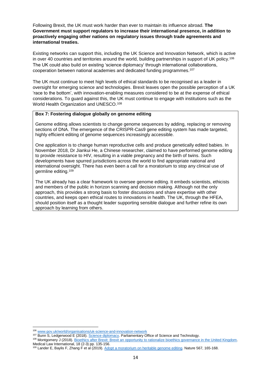Following Brexit, the UK must work harder than ever to maintain its influence abroad. **The Government must support regulators to increase their international presence, in addition to proactively engaging other nations on regulatory issues through trade agreements and international treaties.**

Existing networks can support this, including the UK Science and Innovation Network, which is active in over 40 countries and territories around the world, building partnerships in support of UK policy.<sup>106</sup> The UK could also build on existing 'science diplomacy' through international collaborations, cooperation between national academies and dedicated funding programmes.<sup>107</sup>

The UK must continue to meet high levels of ethical standards to be recognised as a leader in oversight for emerging science and technologies. Brexit leaves open the possible perception of a UK 'race to the bottom', with innovation-enabling measures considered to be at the expense of ethical considerations. To guard against this, the UK must continue to engage with institutions such as the World Health Organization and UNESCO.<sup>108</sup>

#### **Box 7: Fostering dialogue globally on genome editing**

Genome editing allows scientists to change genome sequences by adding, replacing or removing sections of DNA. The emergence of the CRISPR-Cas9 gene editing system has made targeted, highly efficient editing of genome sequences increasingly accessible.

One application is to change human reproductive cells and produce genetically edited babies. In November 2018, Dr Jiankui He, a Chinese researcher, claimed to have performed genome editing to provide resistance to HIV, resulting in a viable pregnancy and the birth of twins. Such developments have spurred jurisdictions across the world to find appropriate national and international oversight. There has even been a call for a moratorium to stop any clinical use of germline editing.<sup>109</sup>

The UK already has a clear framework to oversee genome editing. It embeds scientists, ethicists and members of the public in horizon scanning and decision making. Although not the only approach, this provides a strong basis to foster discussions and share expertise with other countries, and keeps open ethical routes to innovations in health. The UK, through the HFEA, should position itself as a thought leader supporting sensible dialogue and further refine its own approach by learning from others.

<sup>106</sup> [www.gov.uk/world/organisations/uk-science-and-innovation-network](http://www.gov.uk/world/organisations/uk-science-and-innovation-network)

<sup>107</sup> Bunn S, Ledgerwood E (2018)[. Science diplomacy.](https://researchbriefings.parliament.uk/ResearchBriefing/Summary/POST-PN-0568) Parliamentary Office of Science and Technology.

<sup>108</sup> Montgomery J (2018). [Bioethics after Brexit: Brexit an opportunity to rationalize bioethics governance in the United Kingdom.](https://journals.sagepub.com/doi/abs/10.1177/0968533218807262)  Medical Law International, 18 (2-3) pp. 135-156.

<sup>&</sup>lt;sup>109</sup> Lander E, Baylis F, Zhang F et al (2019). [Adopt a moratorium on heritable genome editing.](https://www.nature.com/articles/d41586-019-00726-5) Nature 567, 165-168.